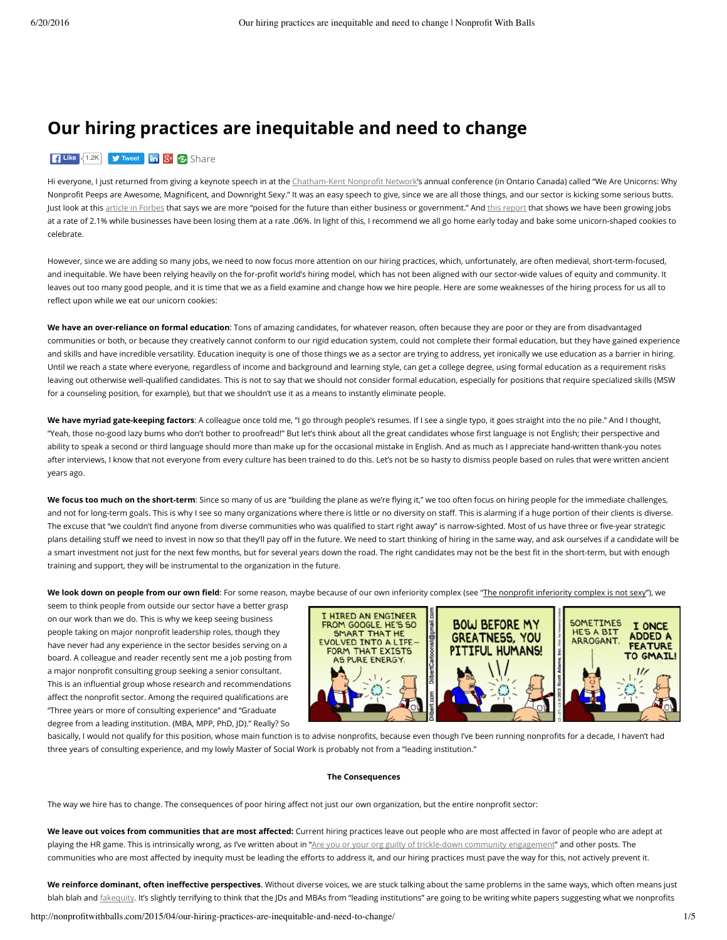# **Our hiring practices are inequitable and need to change**

## Like <1.2K **[Tweet](https://twitter.com/intent/tweet?original_referer=http%3A%2F%2Fnonprofitwithballs.com%2F2015%2F04%2Four-hiring-practices-are-inequitable-and-need-to-change%2F&ref_src=twsrc%5Etfw&related=AddToAny%2Cmicropat&text=Our%20hiring%20practices%20are%20inequitable%20and%20need%20to%20change&tw_p=tweetbutton&url=http%3A%2F%2Fnonprofitwithballs.com%2F2015%2F04%2Four-hiring-practices-are-inequitable-and-need-to-change%2F)** in 8<sup>+</sup> 3 [Share](https://www.addtoany.com/share#url=http%3A%2F%2Fnonprofitwithballs.com%2F2015%2F04%2Four-hiring-practices-are-inequitable-and-need-to-change%2F&title=Our%20hiring%20practices%20are%20inequitable%20and%20need%20to%20change&description=)

Hi everyone, I just returned from giving a keynote speech in at the [Chatham-Kent](http://www.cknn.ca/) Nonprofit Network's annual conference (in Ontario Canada) called "We Are Unicorns: Why Nonprofit Peeps are Awesome, Magnificent, and Downright Sexy." It was an easy speech to give, since we are all those things, and our sector is kicking some serious butts. Just look at this article in [Forbes](http://www.forbes.com/sites/singularity/2015/02/09/stealth-rally-in-the-nonprofit-sector/) that says we are more "poised for the future than either business or government." And this [report](http://www.thenonprofitpartnership.org/files/ned_national_2012.pdf) that shows we have been growing jobs at a rate of 2.1% while businesses have been losing them at a rate .06%. In light of this, I recommend we all go home early today and bake some unicorn-shaped cookies to celebrate.

However, since we are adding so many jobs, we need to now focus more attention on our hiring practices, which, unfortunately, are often medieval, short-term-focused, and inequitable. We have been relying heavily on the for-profit world's hiring model, which has not been aligned with our sector-wide values of equity and community. It leaves out too many good people, and it is time that we as a field examine and change how we hire people. Here are some weaknesses of the hiring process for us all to reflect upon while we eat our unicorn cookies:

**We have an over-reliance on formal education**: Tons of amazing candidates, for whatever reason, often because they are poor or they are from disadvantaged communities or both, or because they creatively cannot conform to our rigid education system, could not complete their formal education, but they have gained experience and skills and have incredible versatility. Education inequity is one of those things we as a sector are trying to address, yet ironically we use education as a barrier in hiring. Until we reach a state where everyone, regardless of income and background and learning style, can get a college degree, using formal education as a requirement risks leaving out otherwise well-qualified candidates. This is not to say that we should not consider formal education, especially for positions that require specialized skills (MSW for a counseling position, for example), but that we shouldn't use it as a means to instantly eliminate people.

**We have myriad gate-keeping factors**: A colleague once told me, "I go through people's resumes. If I see a single typo, it goes straight into the no pile." And I thought, "Yeah, those no-good lazy bums who don't bother to proofread!" But let's think about all the great candidates whose first language is not English; their perspective and ability to speak a second or third language should more than make up for the occasional mistake in English. And as much as I appreciate hand-written thank-you notes after interviews, I know that not everyone from every culture has been trained to do this. Let's not be so hasty to dismiss people based on rules that were written ancient years ago.

We focus too much on the short-term: Since so many of us are "building the plane as we're flying it," we too often focus on hiring people for the immediate challenges, and not for long-term goals. This is why I see so many organizations where there is little or no diversity on staff. This is alarming if a huge portion of their clients is diverse. The excuse that "we couldn't find anyone from diverse communities who was qualified to start right away" is narrow-sighted. Most of us have three or five-year strategic plans detailing stuff we need to invest in now so that they'll pay off in the future. We need to start thinking of hiring in the same way, and ask ourselves if a candidate will be a smart investment not just for the next few months, but for several years down the road. The right candidates may not be the best fit in the short-term, but with enough training and support, they will be instrumental to the organization in the future.

We look down on people from our own field: For some reason, maybe because of our own inferiority complex (see "The nonprofit inferiority complex is not sexy"), we

seem to think people from outside our sector have a better grasp on our work than we do. This is why we keep seeing business people taking on major nonprofit leadership roles, though they have never had any experience in the sector besides serving on a board. A colleague and reader recently sent me a job posting from a major nonprofit consulting group seeking a senior consultant. This is an influential group whose research and recommendations affect the nonprofit sector. Among the required qualifications are "Three years or more of consulting experience" and "Graduate degree from a leading institution. (MBA, MPP, PhD, JD)." Really? So



basically, I would not qualify for this position, whose main function is to advise nonprofits, because even though I've been running nonprofits for a decade, I haven't had three years of consulting experience, and my lowly Master of Social Work is probably not from a "leading institution."

# **The Consequences**

The way we hire has to change. The consequences of poor hiring affect not just our own organization, but the entire nonprofit sector:

We leave out voices from communities that are most affected: Current hiring practices leave out people who are most affected in favor of people who are adept at playing the HR game. This is intrinsically wrong, as I've written about in "Are you or your org guilty of trickle-down community [engagement](http://nonprofitwithballs.com/2015/01/are-you-or-your-org-guilty-of-trickle-down-community-engagement/)" and other posts. The communities who are most affected by inequity must be leading the efforts to address it, and our hiring practices must pave the way for this, not actively prevent it.

We reinforce dominant, often ineffective perspectives. Without diverse voices, we are stuck talking about the same problems in the same ways, which often means just blah blah and [fakequity](http://nonprofitwithballs.com/2015/03/are-you-guilty-of-fakequity-if-so-what-to-do-about-it/). It's slightly terrifying to think that the JDs and MBAs from "leading institutions" are going to be writing white papers suggesting what we nonprofits

http://nonprofitwithballs.com/2015/04/our-hiring-practices-are-inequitable-and-need-to-change/ 1/5